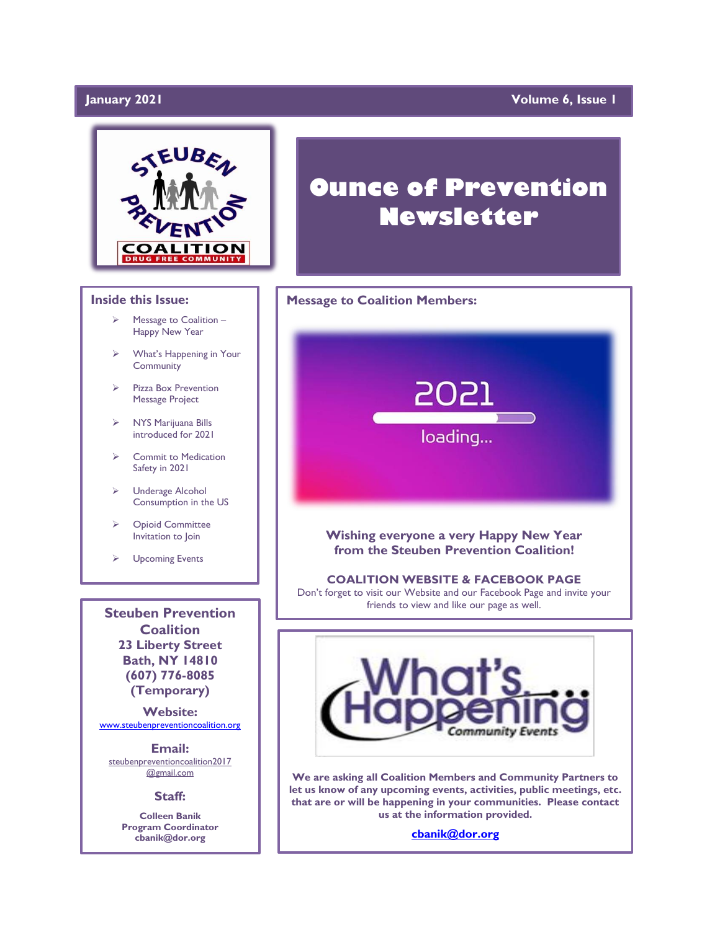# January 2021

# **Volume 6, Issue 1**



### **Inside this Issue:**

- ➢ Message to Coalition Happy New Year
- ➢ What's Happening in Your **Community**
- ➢ Pizza Box Prevention Message Project
- ➢ NYS Marijuana Bills introduced for 2021
- ➢ Commit to Medication Safety in 2021
- ➢ Underage Alcohol Consumption in the US
- ➢ Opioid Committee Invitation to Join
- ➢ Upcoming Events

**Steuben Prevention Coalition 23 Liberty Street Bath, NY 14810 (607) 776-8085 (Temporary)**

**Website:**  [www.steubenpreventioncoalition.org](http://www.steubenpreventioncoalition.org/)

**Email:**  steubenpreventioncoalition2017 @gmail.com

### **Staff:**

**Colleen Banik Program Coordinator cbanik@dor.org**

# **Ounce of Prevention Newsletter**

### **Message to Coalition Members:**



### **Wishing everyone a very Happy New Year from the Steuben Prevention Coalition!**

### **COALITION WEBSITE & FACEBOOK PAGE**

Don't forget to visit our Website and our Facebook Page and invite your friends to view and like our page as well.

ww.steubenprevention.org/www.steubenprevention.org/



**We are asking all Coalition Members and Community Partners to let us know of any upcoming events, activities, public meetings, etc. that are or will be happening in your communities. Please contact us at the information provided.**

**[cbanik@dor.org](mailto:cbanik@dor.org)**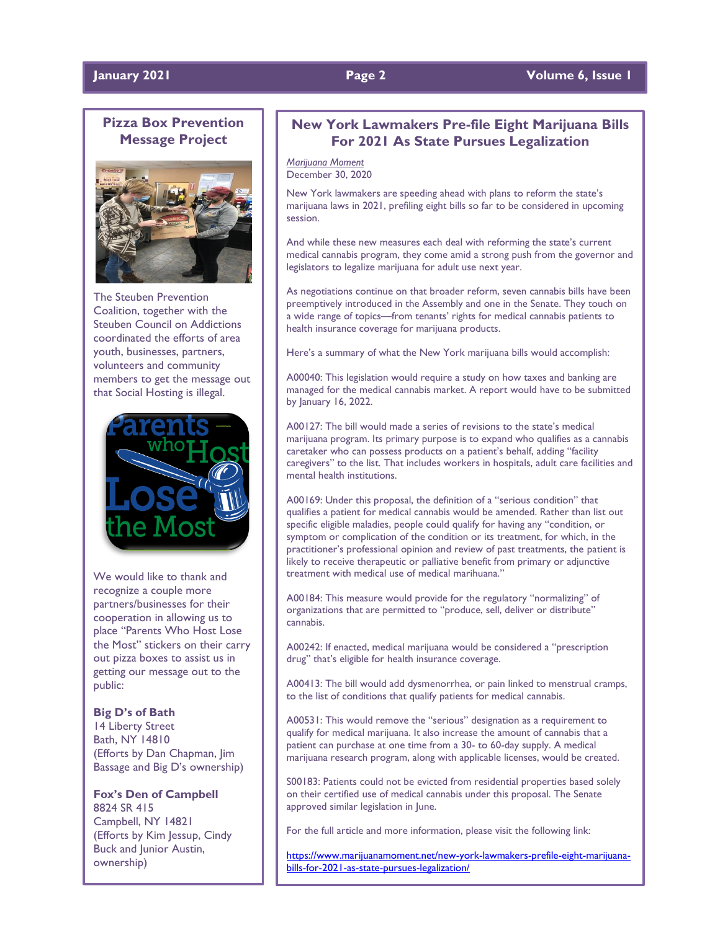### **January 2021 Page 2 Volume 6, Issue 1**

# **Pizza Box Prevention Message Project**



The Steuben Prevention Coalition, together with the Steuben Council on Addictions coordinated the efforts of area youth, businesses, partners, volunteers and community members to get the message out that Social Hosting is illegal.



We would like to thank and recognize a couple more partners/businesses for their cooperation in allowing us to place "Parents Who Host Lose the Most" stickers on their carry out pizza boxes to assist us in getting our message out to the public:

### **Big D's of Bath**

14 Liberty Street Bath, NY 14810 (Efforts by Dan Chapman, Jim Bassage and Big D's ownership)

### **Fox's Den of Campbell**

8824 SR 415 Campbell, NY 14821 (Efforts by Kim Jessup, Cindy Buck and Junior Austin, ownership)

# **New York Lawmakers Pre-file Eight Marijuana Bills For 2021 As State Pursues Legalization**

*Marijuana Moment* December 30, 2020

New York lawmakers are speeding ahead with plans to reform the state's marijuana laws in 2021, prefiling eight bills so far to be considered in upcoming session.

And while these new measures each deal with reforming the state's current medical cannabis program, they come amid a strong push from the governor and legislators to legalize marijuana for adult use next year.

As negotiations continue on that broader reform, seven cannabis bills have been preemptively introduced in the Assembly and one in the Senate. They touch on a wide range of topics—from tenants' rights for medical cannabis patients to health insurance coverage for marijuana products.

Here's a summary of what the New York marijuana bills would accomplish:

A00040: This legislation would require a study on how taxes and banking are managed for the medical cannabis market. A report would have to be submitted by January 16, 2022.

A00127: The bill would made a series of revisions to the state's medical marijuana program. Its primary purpose is to expand who qualifies as a cannabis caretaker who can possess products on a patient's behalf, adding "facility caregivers" to the list. That includes workers in hospitals, adult care facilities and mental health institutions.

A00169: Under this proposal, the definition of a "serious condition" that qualifies a patient for medical cannabis would be amended. Rather than list out specific eligible maladies, people could qualify for having any "condition, or symptom or complication of the condition or its treatment, for which, in the practitioner's professional opinion and review of past treatments, the patient is likely to receive therapeutic or palliative benefit from primary or adjunctive treatment with medical use of medical marihuana."

A00184: This measure would provide for the regulatory "normalizing" of organizations that are permitted to "produce, sell, deliver or distribute" cannabis.

A00242: If enacted, medical marijuana would be considered a "prescription drug" that's eligible for health insurance coverage.

A00413: The bill would add dysmenorrhea, or pain linked to menstrual cramps, to the list of conditions that qualify patients for medical cannabis.

A00531: This would remove the "serious" designation as a requirement to qualify for medical marijuana. It also increase the amount of cannabis that a patient can purchase at one time from a 30- to 60-day supply. A medical marijuana research program, along with applicable licenses, would be created.

S00183: Patients could not be evicted from residential properties based solely on their certified use of medical cannabis under this proposal. The Senate approved similar legislation in June.

For the full article and more information, please visit the following link:

[https://www.marijuanamoment.net/new-york-lawmakers-prefile-eight-marijuana](https://www.marijuanamoment.net/new-york-lawmakers-prefile-eight-marijuana-bills-for-2021-as-state-pursues-legalization/)[bills-for-2021-as-state-pursues-legalization/](https://www.marijuanamoment.net/new-york-lawmakers-prefile-eight-marijuana-bills-for-2021-as-state-pursues-legalization/)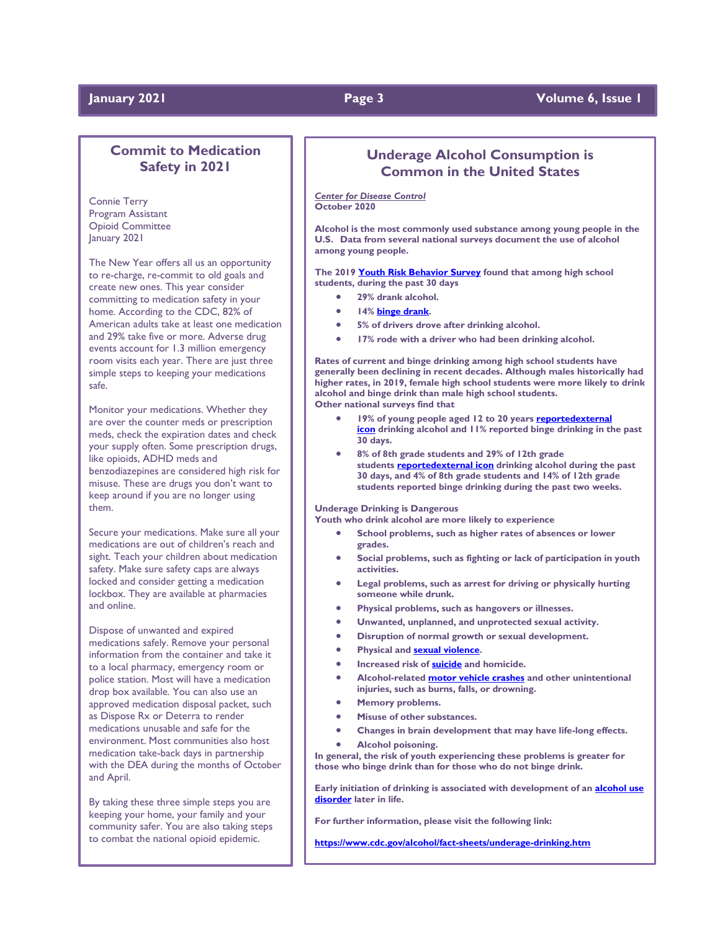### **January 2021 Page 3 Volume 6, Issue 1**

# **Commit to Medication Safety in 2021**

Connie Terry Program Assistant Opioid Committee January 2021

The New Year offers all us an opportunity to re-charge, re-commit to old goals and create new ones. This year consider committing to medication safety in your home. According to the CDC, 82% of American adults take at least one medication and 29% take five or more. Adverse drug events account for 1.3 million emergency room visits each year. There are just three simple steps to keeping your medications safe.

Monitor your medications. Whether they are over the counter meds or prescription meds, check the expiration dates and check your supply often. Some prescription drugs, like opioids, ADHD meds and benzodiazepines are considered high risk for misuse. These are drugs you don't want to keep around if you are no longer using them.

Secure your medications. Make sure all your medications are out of children's reach and sight. Teach your children about medication safety. Make sure safety caps are always locked and consider getting a medication lockbox. They are available at pharmacies and online.

Dispose of unwanted and expired medications safely. Remove your personal information from the container and take it to a local pharmacy, emergency room or police station. Most will have a medication drop box available. You can also use an approved medication disposal packet, such as Dispose Rx or Deterra to render medications unusable and safe for the environment. Most communities also host medication take-back days in partnership with the DEA during the months of October and April.

By taking these three simple steps you are keeping your home, your family and your community safer. You are also taking steps to combat the national opioid epidemic.

# **Underage Alcohol Consumption is Common in the United States**

*Center for Disease Control* **October 2020**

**Alcohol is the most commonly used substance among young people in the U.S. Data from several national surveys document the use of alcohol among young people.**

**The 2019 [Youth Risk Behavior Survey](http://www.cdc.gov/healthyyouth/yrbs/) found that among high school students, during the past 30 days**

- **29% drank alcohol.**
- **14% [binge drank.](https://www.cdc.gov/alcohol/fact-sheets/binge-drinking.htm)**
- **5% of drivers drove after drinking alcohol.**
- **17% rode with a driver who had been drinking alcohol.**

**Rates of current and binge drinking among high school students have generally been declining in recent decades. Although males historically had higher rates, in 2019, female high school students were more likely to drink alcohol and binge drink than male high school students. Other national surveys find that**

- **19% of young people aged 12 to 20 years [reportedexternal](https://www.samhsa.gov/data/report/2019-nsduh-detailed-tables)  [icon](https://www.samhsa.gov/data/report/2019-nsduh-detailed-tables) drinking alcohol and 11% reported binge drinking in the past 30 days.**
- **8% of 8th grade students and 29% of 12th grade students [reportedexternal icon](http://www.monitoringthefuture.org/) drinking alcohol during the past 30 days, and 4% of 8th grade students and 14% of 12th grade students reported binge drinking during the past two weeks.**

**Underage Drinking is Dangerous**

**Youth who drink alcohol are more likely to experience**

- **School problems, such as higher rates of absences or lower grades.**
- **Social problems, such as fighting or lack of participation in youth activities.**
- **Legal problems, such as arrest for driving or physically hurting someone while drunk.**
- **Physical problems, such as hangovers or illnesses.**
- **Unwanted, unplanned, and unprotected sexual activity.**
	- **Disruption of normal growth or sexual development.**
- **Physical and [sexual violence.](https://www.cdc.gov/violenceprevention/sexualviolence/index.html)**
- **Increased risk of [suicide](https://www.cdc.gov/violenceprevention/suicide/index.html) and homicide.**
- **Alcohol-related [motor vehicle crashes](https://www.cdc.gov/motorvehiclesafety/impaired_driving/) and other unintentional injuries, such as burns, falls, or drowning.**
- **Memory problems.**
- **Misuse of other substances.**
- **Changes in brain development that may have life-long effects.**
	- **Alcohol poisoning.**

**In general, the risk of youth experiencing these problems is greater for those who binge drink than for those who do not binge drink.**

**Early initiation of drinking is associated with development of an [alcohol use](https://www.cdc.gov/alcohol/faqs.htm#alcoholismAbuse)  [disorder](https://www.cdc.gov/alcohol/faqs.htm#alcoholismAbuse) later in life.**

**For further information, please visit the following link:**

**<https://www.cdc.gov/alcohol/fact-sheets/underage-drinking.htm>**